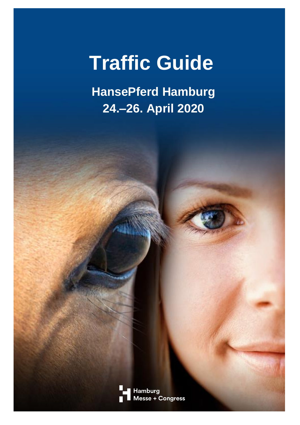# **Traffic Guide**

**HansePferd Hamburg 24.–26. April 2020**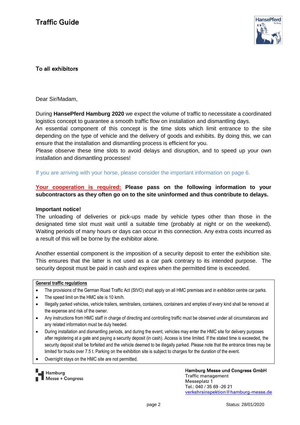

## To all exhibitors

Dear Sir/Madam,

During **HansePferd Hamburg 2020** we expect the volume of traffic to necessitate a coordinated logistics concept to guarantee a smooth traffic flow on installation and dismantling days.

An essential component of this concept is the time slots which limit entrance to the site depending on the type of vehicle and the delivery of goods and exhibits. By doing this, we can ensure that the installation and dismantling process is efficient for you.

Please observe these time slots to avoid delays and disruption, and to speed up your own installation and dismantling processes!

If you are arriving with your horse, please consider the important information on page 6.

## **Your cooperation is required: Please pass on the following information to your subcontractors as they often go on to the site uninformed and thus contribute to delays.**

#### **Important notice!**

The unloading of deliveries or pick-ups made by vehicle types other than those in the designated time slot must wait until a suitable time (probably at night or on the weekend). Waiting periods of many hours or days can occur in this connection. Any extra costs incurred as a result of this will be borne by the exhibitor alone.

Another essential component is the imposition of a security deposit to enter the exhibition site. This ensures that the latter is not used as a car park contrary to its intended purpose. The security deposit must be paid in cash and expires when the permitted time is exceeded.

#### **General traffic regulations**

- The provisions of the German Road Traffic Act (StVO) shall apply on all HMC premises and in exhibition centre car parks.
- The speed limit on the HMC site is 10 km/h.
- Illegally parked vehicles, vehicle trailers, semitrailers, containers, containers and empties of every kind shall be removed at the expense and risk of the owner.
- Any instructions from HMC staff in charge of directing and controlling traffic must be observed under all circumstances and any related information must be duly heeded.
- During installation and dismantling periods, and during the event, vehicles may enter the HMC site for delivery purposes after registering at a gate and paying a security deposit (in cash). Access is time limited. If the stated time is exceeded, the security deposit shall be forfeited and the vehicle deemed to be illegally parked. Please note that the entrance times may be limited for trucks over 7.5 t. Parking on the exhibition site is subject to charges for the duration of the event.
- Overnight stays on the HMC site are not permitted.

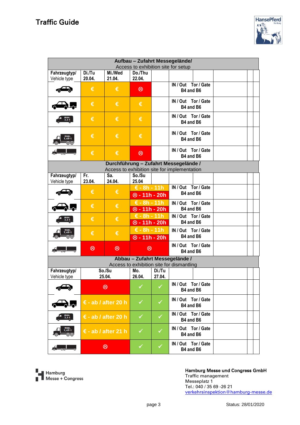

| Aufbau - Zufahrt Messegelände/               |                              |                |                                                      |        |                                           |  |  |  |  |  |
|----------------------------------------------|------------------------------|----------------|------------------------------------------------------|--------|-------------------------------------------|--|--|--|--|--|
| Access to exhibition site for setup          |                              |                |                                                      |        |                                           |  |  |  |  |  |
| Fahrzeugtyp/                                 | Di./Tu                       | Mi./Wed        | Do./Thu                                              |        |                                           |  |  |  |  |  |
| Vehicle type                                 | 20.04.                       | 21.04.         | 22.04.                                               |        |                                           |  |  |  |  |  |
|                                              |                              |                |                                                      |        | IN / Out Tor / Gate                       |  |  |  |  |  |
|                                              | €                            | €              | $\circledcirc$                                       |        | B4 and B6                                 |  |  |  |  |  |
|                                              |                              |                |                                                      |        |                                           |  |  |  |  |  |
|                                              |                              |                |                                                      |        | IN / Out Tor / Gate                       |  |  |  |  |  |
|                                              | €                            | €              | €                                                    |        |                                           |  |  |  |  |  |
|                                              |                              |                |                                                      |        | B4 and B6                                 |  |  |  |  |  |
|                                              |                              |                |                                                      |        | IN / Out Tor / Gate                       |  |  |  |  |  |
|                                              | €                            | €              | €                                                    |        |                                           |  |  |  |  |  |
|                                              |                              |                |                                                      |        | B4 and B6                                 |  |  |  |  |  |
|                                              | €                            | €              |                                                      |        |                                           |  |  |  |  |  |
|                                              |                              |                | €                                                    |        | IN / Out Tor / Gate                       |  |  |  |  |  |
| 7.49                                         |                              |                |                                                      |        | B4 and B6                                 |  |  |  |  |  |
|                                              |                              |                |                                                      |        |                                           |  |  |  |  |  |
|                                              |                              |                |                                                      |        | IN / Out Tor / Gate                       |  |  |  |  |  |
|                                              | €                            | €              | $\circledR$                                          |        | B4 and B6                                 |  |  |  |  |  |
|                                              |                              |                |                                                      |        |                                           |  |  |  |  |  |
| Durchführung - Zufahrt Messegelände /        |                              |                |                                                      |        |                                           |  |  |  |  |  |
| Access to exhibition site for implementation |                              |                |                                                      |        |                                           |  |  |  |  |  |
| Fahrzeugtyp/                                 | Fr.                          | Sa.            | So./Su                                               |        |                                           |  |  |  |  |  |
|                                              |                              |                |                                                      |        |                                           |  |  |  |  |  |
| Vehicle type                                 | 23.04.                       | 24.04.         | 25.04                                                |        |                                           |  |  |  |  |  |
|                                              | €                            | €              | $E - 8h - 11h$                                       |        | IN / Out Tor / Gate<br>B4 and B6          |  |  |  |  |  |
|                                              |                              |                | $\overline{\circ}$ - 11h - 20h                       |        |                                           |  |  |  |  |  |
|                                              |                              |                |                                                      |        |                                           |  |  |  |  |  |
|                                              | €                            | €              | $\epsilon$ - 8h - 11h<br><b><sup>⊗</sup>-11h-20h</b> |        | IN / Out Tor / Gate                       |  |  |  |  |  |
|                                              |                              |                |                                                      |        | B4 and B6                                 |  |  |  |  |  |
|                                              | €                            | €              |                                                      |        |                                           |  |  |  |  |  |
|                                              |                              |                | $\epsilon$ - 8h - 11h                                |        | IN / Out Tor / Gate                       |  |  |  |  |  |
|                                              |                              |                | <b><sup>⊗</sup>-11h-20h</b>                          |        | B4 and B6                                 |  |  |  |  |  |
|                                              |                              |                | $\epsilon$ - 8h - 11h                                |        | IN / Out Tor / Gate                       |  |  |  |  |  |
|                                              | €                            | €              |                                                      |        |                                           |  |  |  |  |  |
| ண                                            |                              |                | $\otimes$ - 11h - 20h                                |        | B4 and B6                                 |  |  |  |  |  |
|                                              |                              |                | IN / Out Tor / Gate                                  |        |                                           |  |  |  |  |  |
|                                              | ම                            | $\circledcirc$ | $\circledcirc$                                       |        |                                           |  |  |  |  |  |
|                                              |                              |                |                                                      |        | B4 and B6                                 |  |  |  |  |  |
|                                              |                              |                |                                                      |        | Abbau - Zufahrt Messegelände /            |  |  |  |  |  |
|                                              |                              |                |                                                      |        | Access to exhibition site for dismantling |  |  |  |  |  |
|                                              |                              |                |                                                      |        |                                           |  |  |  |  |  |
| Fahrzeugtyp/                                 |                              | So./Su         | Mo.                                                  | Di./Tu |                                           |  |  |  |  |  |
| Vehicle type                                 |                              | 25.04.         | 26.04.                                               | 27.04. |                                           |  |  |  |  |  |
|                                              |                              |                |                                                      |        | IN / Out Tor / Gate                       |  |  |  |  |  |
|                                              | ම                            |                |                                                      |        |                                           |  |  |  |  |  |
|                                              |                              |                |                                                      |        | B4 and B6                                 |  |  |  |  |  |
|                                              |                              |                |                                                      |        |                                           |  |  |  |  |  |
|                                              | $\epsilon$ - ab / after 20 h |                | ✓                                                    | ✓      | IN / Out Tor / Gate                       |  |  |  |  |  |
|                                              |                              |                |                                                      |        | B4 and B6                                 |  |  |  |  |  |
|                                              |                              |                |                                                      |        | IN / Out Tor / Gate                       |  |  |  |  |  |
| max.<br>3,5 t                                | $\epsilon$ - ab / after 20 h |                | $\checkmark$                                         | ✓      |                                           |  |  |  |  |  |
|                                              |                              |                |                                                      |        | B4 and B6                                 |  |  |  |  |  |
|                                              | $\epsilon$ - ab / after 21 h |                | ✓                                                    | ✓      | IN / Out Tor / Gate                       |  |  |  |  |  |
| max.<br>7,49 t                               |                              |                |                                                      |        |                                           |  |  |  |  |  |
| ෨                                            |                              |                |                                                      |        | B4 and B6                                 |  |  |  |  |  |
|                                              |                              |                |                                                      |        |                                           |  |  |  |  |  |
|                                              | ම                            |                | ✓                                                    | ✓      | IN / Out Tor / Gate                       |  |  |  |  |  |
|                                              |                              |                |                                                      |        | B4 and B6                                 |  |  |  |  |  |

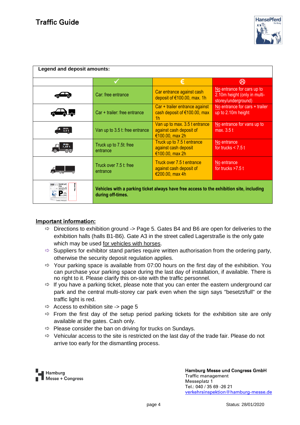

| Legend and deposit amounts:    |                                                                                                               |                                                                             |                                                                                   |  |  |  |  |  |
|--------------------------------|---------------------------------------------------------------------------------------------------------------|-----------------------------------------------------------------------------|-----------------------------------------------------------------------------------|--|--|--|--|--|
|                                |                                                                                                               | €                                                                           | ගි                                                                                |  |  |  |  |  |
|                                | Car: free entrance                                                                                            | Car entrance against cash<br>deposit of €100.00, max. 1h                    | No entrance for cars up to<br>2.10m height (only in multi-<br>storey/underground) |  |  |  |  |  |
|                                | Car + trailer: free entrance                                                                                  | Car + trailer entrance against<br>cash deposit of €100.00, max<br>1h        | No entrance for cars + trailer<br>up to 2.10m height                              |  |  |  |  |  |
| max.<br>3,5 t                  | Van up to 3.5 t: free entrance                                                                                | Van up to max. 3.5 t entrance<br>against cash deposit of<br>€100.00, max 2h | No entrance for vans up to<br>max. 3.5 t                                          |  |  |  |  |  |
|                                | Truck up to 7.5t: free<br>entrance                                                                            | Truck up to 7.5 t entrance<br>against cash deposit<br>€100.00, max 2h       | No entrance<br>for trucks $<$ 7.5 t                                               |  |  |  |  |  |
|                                | Truck over 7.5 t: free<br>entrance                                                                            | Truck over 7.5 t entrance<br>against cash deposit of<br>€200.00, max 4h     | No entrance<br>for trucks $>7.5$ t                                                |  |  |  |  |  |
| <b>020 September PARKPLATZ</b> | Vehicles with a parking ticket always have free access to the exhibition site, including<br>during off-times. |                                                                             |                                                                                   |  |  |  |  |  |

### Important information:

- $\Rightarrow$  Directions to exhibition ground -> Page 5. Gates B4 and B6 are open for deliveries to the exhibition halls (halls B1-B6). Gate A3 in the street called Lagerstraße is the only gate which may be used for vehicles with horses.
- $\Rightarrow$  Suppliers for exhibitor stand parties require written authorisation from the ordering party, otherwise the security deposit regulation applies.
- $\Rightarrow$  Your parking space is available from 07:00 hours on the first day of the exhibition. You can purchase your parking space during the last day of installation, if available. There is no right to it. Please clarify this on-site with the traffic personnel.
- $\Rightarrow$  If you have a parking ticket, please note that you can enter the eastern underground car park and the central multi-storey car park even when the sign says "besetzt/full" or the traffic light is red.
- $\Rightarrow$  Access to exhibition site -> page 5
- $\Rightarrow$  From the first day of the setup period parking tickets for the exhibition site are only available at the gates. Cash only.
- $\Rightarrow$  Please consider the ban on driving for trucks on Sundays.
- $\Rightarrow$  Vehicular access to the site is restricted on the last day of the trade fair. Please do not arrive too early for the dismantling process.

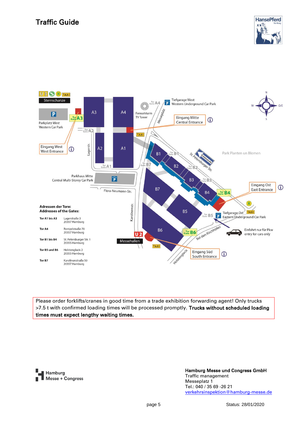# Traffic Guide





Please order forklifts/cranes in good time from a trade exhibition forwarding agent! Only trucks >7.5 t with confirmed loading times will be processed promptly. Trucks without scheduled loading times must expect lengthy waiting times.

Hamburg Messe + Congress